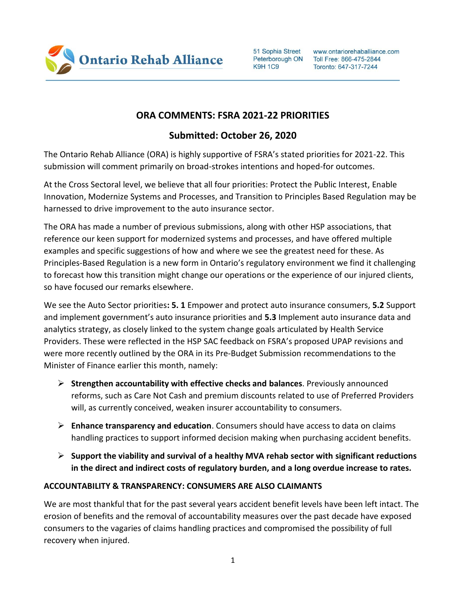

51 Sophia Street Peterborough ON **K9H 1C9** 

www.ontariorehaballiance.com Toll Free: 866-475-2844 Toronto: 647-317-7244

## **ORA COMMENTS: FSRA 2021-22 PRIORITIES**

## **Submitted: October 26, 2020**

The Ontario Rehab Alliance (ORA) is highly supportive of FSRA's stated priorities for 2021-22. This submission will comment primarily on broad-strokes intentions and hoped-for outcomes.

At the Cross Sectoral level, we believe that all four priorities: Protect the Public Interest, Enable Innovation, Modernize Systems and Processes, and Transition to Principles Based Regulation may be harnessed to drive improvement to the auto insurance sector.

The ORA has made a number of previous submissions, along with other HSP associations, that reference our keen support for modernized systems and processes, and have offered multiple examples and specific suggestions of how and where we see the greatest need for these. As Principles-Based Regulation is a new form in Ontario's regulatory environment we find it challenging to forecast how this transition might change our operations or the experience of our injured clients, so have focused our remarks elsewhere.

We see the Auto Sector priorities**: 5. 1** Empower and protect auto insurance consumers, **5.2** Support and implement government's auto insurance priorities and **5.3** Implement auto insurance data and analytics strategy, as closely linked to the system change goals articulated by Health Service Providers. These were reflected in the HSP SAC feedback on FSRA's proposed UPAP revisions and were more recently outlined by the ORA in its Pre-Budget Submission recommendations to the Minister of Finance earlier this month, namely:

- ➢ **Strengthen accountability with effective checks and balances**. Previously announced reforms, such as Care Not Cash and premium discounts related to use of Preferred Providers will, as currently conceived, weaken insurer accountability to consumers.
- ➢ **Enhance transparency and education**. Consumers should have access to data on claims handling practices to support informed decision making when purchasing accident benefits.
- ➢ **Support the viability and survival of a healthy MVA rehab sector with significant reductions in the direct and indirect costs of regulatory burden, and a long overdue increase to rates.**

## **ACCOUNTABILITY & TRANSPARENCY: CONSUMERS ARE ALSO CLAIMANTS**

We are most thankful that for the past several years accident benefit levels have been left intact. The erosion of benefits and the removal of accountability measures over the past decade have exposed consumers to the vagaries of claims handling practices and compromised the possibility of full recovery when injured.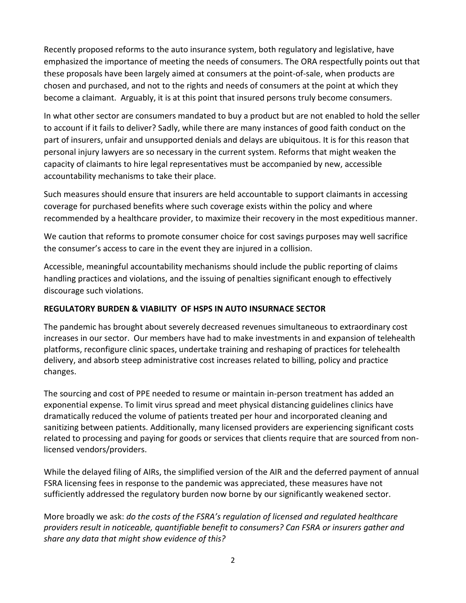Recently proposed reforms to the auto insurance system, both regulatory and legislative, have emphasized the importance of meeting the needs of consumers. The ORA respectfully points out that these proposals have been largely aimed at consumers at the point-of-sale, when products are chosen and purchased, and not to the rights and needs of consumers at the point at which they become a claimant. Arguably, it is at this point that insured persons truly become consumers.

In what other sector are consumers mandated to buy a product but are not enabled to hold the seller to account if it fails to deliver? Sadly, while there are many instances of good faith conduct on the part of insurers, unfair and unsupported denials and delays are ubiquitous. It is for this reason that personal injury lawyers are so necessary in the current system. Reforms that might weaken the capacity of claimants to hire legal representatives must be accompanied by new, accessible accountability mechanisms to take their place.

Such measures should ensure that insurers are held accountable to support claimants in accessing coverage for purchased benefits where such coverage exists within the policy and where recommended by a healthcare provider, to maximize their recovery in the most expeditious manner.

We caution that reforms to promote consumer choice for cost savings purposes may well sacrifice the consumer's access to care in the event they are injured in a collision.

Accessible, meaningful accountability mechanisms should include the public reporting of claims handling practices and violations, and the issuing of penalties significant enough to effectively discourage such violations.

## **REGULATORY BURDEN & VIABILITY OF HSPS IN AUTO INSURNACE SECTOR**

The pandemic has brought about severely decreased revenues simultaneous to extraordinary cost increases in our sector. Our members have had to make investments in and expansion of telehealth platforms, reconfigure clinic spaces, undertake training and reshaping of practices for telehealth delivery, and absorb steep administrative cost increases related to billing, policy and practice changes.

The sourcing and cost of PPE needed to resume or maintain in-person treatment has added an exponential expense. To limit virus spread and meet physical distancing guidelines clinics have dramatically reduced the volume of patients treated per hour and incorporated cleaning and sanitizing between patients. Additionally, many licensed providers are experiencing significant costs related to processing and paying for goods or services that clients require that are sourced from nonlicensed vendors/providers.

While the delayed filing of AIRs, the simplified version of the AIR and the deferred payment of annual FSRA licensing fees in response to the pandemic was appreciated, these measures have not sufficiently addressed the regulatory burden now borne by our significantly weakened sector.

More broadly we ask: *do the costs of the FSRA's regulation of licensed and regulated healthcare providers result in noticeable, quantifiable benefit to consumers? Can FSRA or insurers gather and share any data that might show evidence of this?*